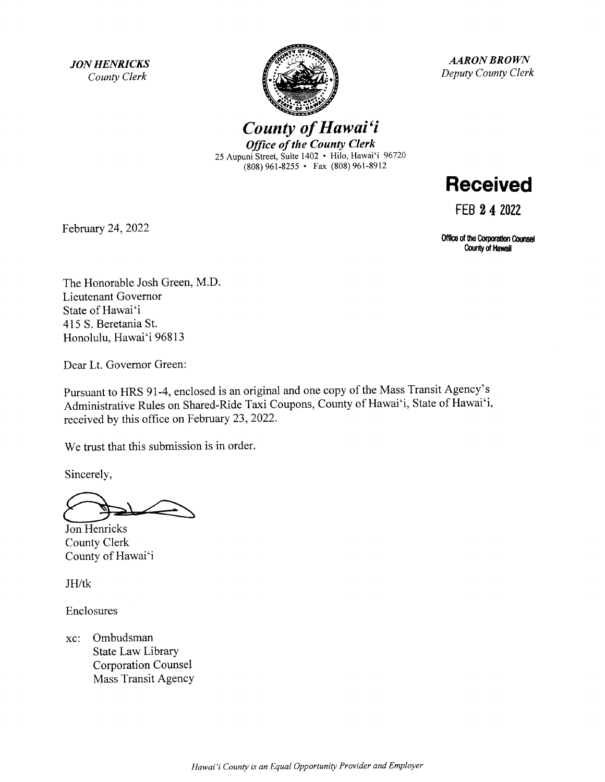**JON HENRICKS** County Clerk



AARON BROWN Deputy County Clerk

County of Hawai'i **Office of the County Clerk** 25 Aupuni Street, Suite 1402 • Hilo, Hawai'i 96720 (808) 961-8255 • Fax (808) 961-8912



FEB 2 4 2022

Office of the Corporation Counsel County of Hawaii

February 24, 2022

The Honorable Josh Green, M.D. Lieutenant Governor State of Hawai'i 415 S. Beretania St. Honolulu, Hawai'i 96813

Dear Lt. Governor Green:

Pursuant to HRS 91-4, enclosed is an original and one copy of the Mass Transit Agency's Administrative Rules on Shared-Ride Taxi Coupons, County of Hawai'i, State of Hawai'i, received by this office on February 23, 2022.

We trust that this submission is in order.

Sincerely,

Jon Henricks County Clerk County of Hawai'i

JH/tk

Enclosures

xc: Ombudsman State Law Library Corporation Counsel Mass Transit Agency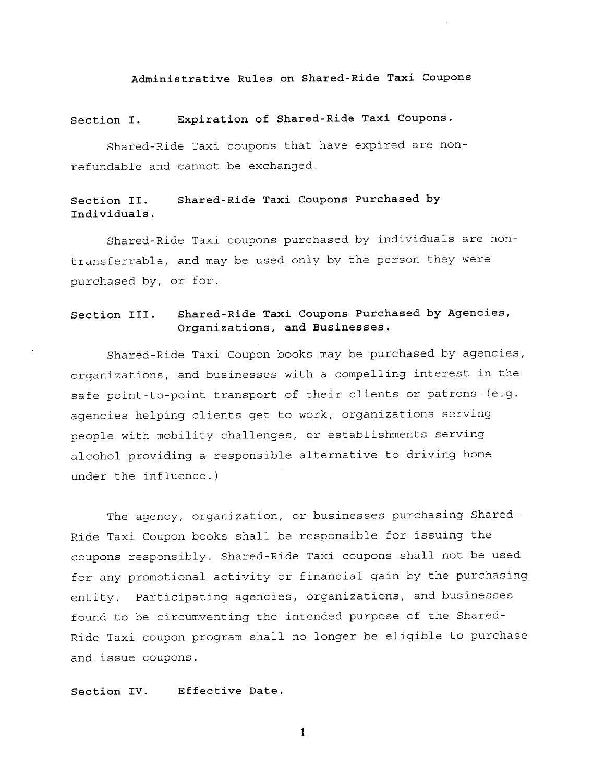#### Administrative Rules on Shared - Ride Taxi Coupons

## Section I. Expiration of Shared-Ride Taxi Coupons.

Shared-Ride Taxi coupons that have expired are nonrefundable and cannot be exchanged.

#### Section II. Shared-Ride Taxi Coupons Purchased by Individuals.

Shared-Ride Taxi coupons purchased by individuals are nontransferrable, and may be used only by the person they were purchased by, or for.

### Section III. Shared-Ride Taxi Coupons Purchased by Agencies, Organizations, and Businesses.

Shared-Ride Taxi Coupon books may be purchased by agencies, organizations, and businesses with <sup>a</sup> compelling interest in the safe point-to-point transport of their clients or patrons (e.g. agencies helping clients get to work, organizations serving people with mobility challenges, or establishments serving alcohol providing <sup>a</sup> responsible alternative to driving home under the influence.)

The agency, organization, or businesses purchasing Shared-Ride Taxi Coupon books shall be responsible for issuing the coupons responsibly. Shared-Ride Taxi coupons shall not be used for any promotional activity or financial gain by the purchasing entity. Participating agencies, organizations, and businesses found to be circumventing the intended purpose of the Shared-Ride Taxi coupon program shall no longer be eligible to purchase and issue coupons.

#### Section IV. Effective Date.

1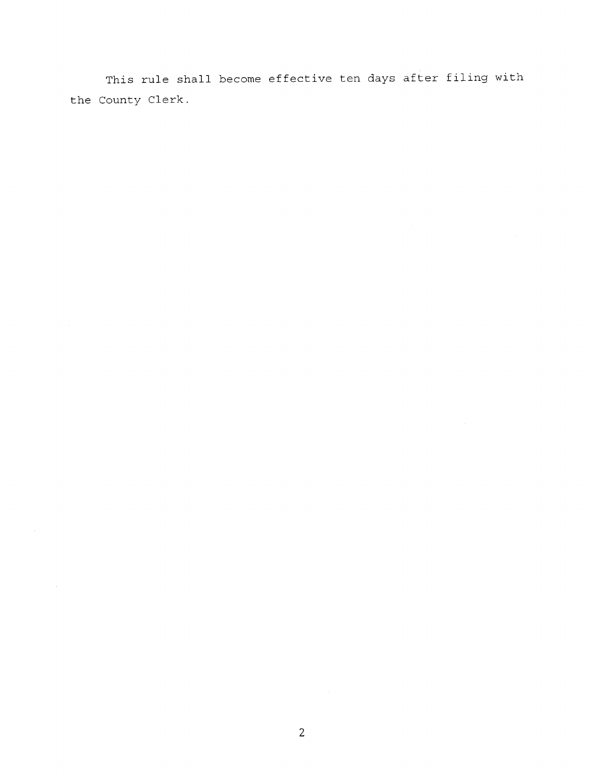This rule shall become effective ten days after filing with the County Clerk.